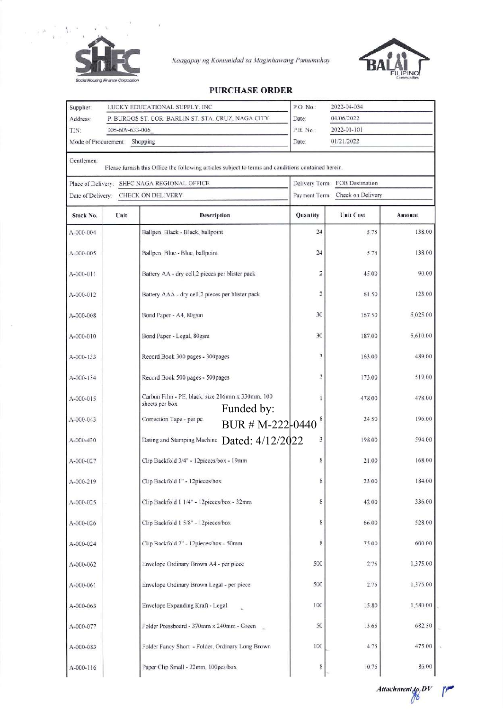

 $\mathbb{F}^3$  $\bar{\gamma}$ 

 $\tilde{\boldsymbol{x}}$ 

Kaagapay ng Komunidad sa Maginhawang Pamumuhay



## **PURCHASE ORDER**

| Supplier:        |                               | LUCKY EDUCATIONAL SUPPLY, INC                                                                      | P.O. No.:<br>2022-04-034                 |                  |          |  |
|------------------|-------------------------------|----------------------------------------------------------------------------------------------------|------------------------------------------|------------------|----------|--|
| Address:         |                               | P. BURGOS ST. COR. BARLIN ST. STA. CRUZ, NAGA CITY                                                 | 04/06/2022<br>Date:                      |                  |          |  |
| TIN:             | 005-609-633-006               |                                                                                                    | P.R. No.:<br>2022-01-101                 |                  |          |  |
|                  | Mode of Procurement: Shopping |                                                                                                    | 01/21/2022<br>Date:                      |                  |          |  |
|                  |                               |                                                                                                    |                                          |                  |          |  |
| Gentlemen:       |                               | Please furnish this Office the following articles subject to terms and conditions contained herein |                                          |                  |          |  |
|                  |                               | Place of Delivery: SHFC NAGA REGIONAL OFFICE                                                       | <b>FOB Destination</b><br>Delivery Term. |                  |          |  |
| Date of Delivery |                               | CHECK ON DELIVERY                                                                                  | Payment Term: Check on Delivery          |                  |          |  |
| Stock No.        | Unit                          | <b>Description</b>                                                                                 | Quantity                                 | <b>Unit Cost</b> | Amount   |  |
| A-000-004        |                               | Ballpen, Black - Black, ballpoint                                                                  | 24                                       | 5.75             | 138.00   |  |
| A-000-005        |                               | Ballpen, Blue - Blue, ballpoint                                                                    | 24                                       | 5.75             | 138.00   |  |
| A-000-011        |                               | Battery AA - dry cell,2 pieces per blister pack                                                    | 2                                        | 45.00            | 90.00    |  |
| A-000-012        |                               | Battery AAA - dry cell,2 pieces per blister pack                                                   | $\overline{2}$                           | 61.50            | 123.00   |  |
| A-000-008        |                               | Bond Paper - A4, 80gsm                                                                             | 30                                       | 167.50           | 5,025.00 |  |
| A-000-010        |                               | Bond Paper - Legal, 80gsm                                                                          | 30                                       | 187.00           | 5,610.00 |  |
| A-000-133        |                               | Record Book 300 pages - 300pages                                                                   | 3                                        | 163.00           | 489.00   |  |
| A-000-134        |                               | Record Book 500 pages - 500pages                                                                   | 3                                        | 173.00           | 519.00   |  |
| A-000-015        |                               | Carbon Film - PE, black, size 216mm x 330mm, 100<br>sheets per box                                 |                                          | 478.00           | 478.00   |  |
|                  |                               | Funded by:                                                                                         |                                          |                  |          |  |
| A-000-043        |                               | Correction Tape - per pc.<br>BUR # M-222-0440                                                      |                                          | 24.50            | 196.00   |  |
| A-000-430        |                               | Dating and Stamping Machine Dated: 4/12/2022                                                       | 3                                        | 198.00           | 594.00   |  |
| A-000-027        |                               | Clip Backfold 3/4" - 12pieces/box - 19mm                                                           | 8                                        | 21.00            | 168.00   |  |
| A-000-219        |                               | Clip Backfold 1" - 12pieces/box                                                                    | 8                                        | 23.00            | 184.00   |  |
| A-000-025        |                               | Clip Backfold 1 1/4" - 12pieces/box - 32mm                                                         | 8                                        | 42.00            | 336.00   |  |
| A-000-026        |                               | Clip Backfold 1 5/8" - 12pieces/box                                                                | 8                                        | 66.00            | 528.00   |  |
| A-000-024        |                               | Clip Backfold 2" - 12pieces/box - 50mm                                                             | 8                                        | 75.00            | 600.00   |  |
| A-000-062        |                               | Envelope Ordinary Brown A4 - per piece                                                             | 500                                      | 2.75             | 1,375.00 |  |
| A-000-061        |                               | Envelope Ordinary Brown Legal - per piece                                                          | 500                                      | 2.75             | 1,375.00 |  |
| A-000-063        |                               | Envelope Expanding Kraft - Legal                                                                   | 100                                      | 15.80            | 1,580.00 |  |
| A-000-077        |                               | Folder Pressboard - 370mm x 240mm - Green                                                          | 50                                       | 13.65            | 682.50   |  |
| A-000-083        |                               | Folder Fancy Short - Folder, Ordinary Long Brown                                                   | 100                                      | 4.75             | 475.00   |  |
| A-000-116        |                               | Paper Clip Small - 32mm, 100pcs/box                                                                | 8                                        | 10.75            | 86.00    |  |